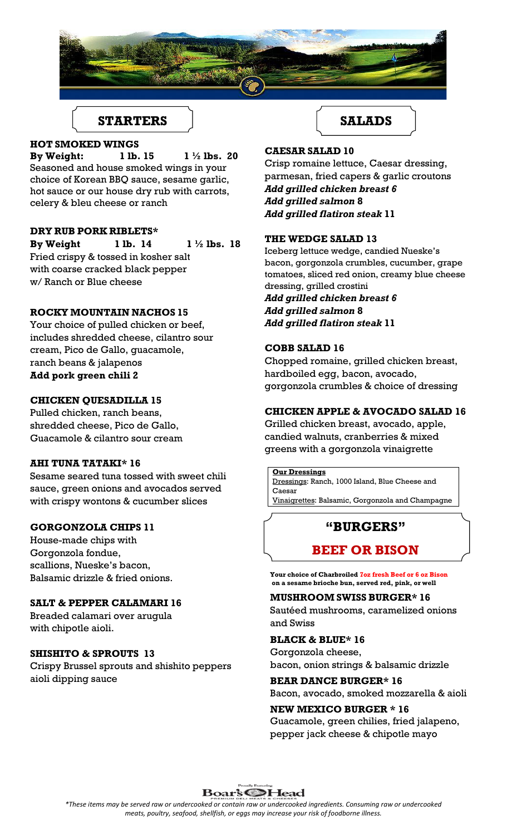

# STARTERS **START I**

### **HOT SMOKED WINGS**

**By Weight: 1 lb. 15 1 ½ lbs. 20** Seasoned and house smoked wings in your choice of Korean BBQ sauce, sesame garlic, hot sauce or our house dry rub with carrots, celery & bleu cheese or ranch

## **DRY RUB PORK RIBLETS\***

**By Weight 1 lb. 14 1 ½ lbs. 18** Fried crispy & tossed in kosher salt with coarse cracked black pepper w/ Ranch or Blue cheese

## **ROCKY MOUNTAIN NACHOS 15**

Your choice of pulled chicken or beef, includes shredded cheese, cilantro sour cream, Pico de Gallo, guacamole, ranch beans & jalapenos **Add pork green chili 2**

### **CHICKEN QUESADILLA 15**

Pulled chicken, ranch beans, shredded cheese, Pico de Gallo, Guacamole & cilantro sour cream

### **AHI TUNA TATAKI\* 16**

Sesame seared tuna tossed with sweet chili sauce, green onions and avocados served with crispy wontons & cucumber slices

#### **GORGONZOLA CHIPS 11**

House-made chips with Gorgonzola fondue, scallions, Nueske's bacon, Balsamic drizzle & fried onions.

### **SALT & PEPPER CALAMARI 16**

Breaded calamari over arugula with chipotle aioli.

### **SHISHITO & SPROUTS 13**

Crispy Brussel sprouts and shishito peppers aioli dipping sauce

## **CAESAR SALAD 10**

Crisp romaine lettuce, Caesar dressing, parmesan, fried capers & garlic croutons *Add grilled chicken breast 6 Add grilled salmon* **8** *Add grilled flatiron steak* **11**

### **THE WEDGE SALAD 13**

Iceberg lettuce wedge, candied Nueske's bacon, gorgonzola crumbles, cucumber, grape tomatoes, sliced red onion, creamy blue cheese dressing, grilled crostini *Add grilled chicken breast 6 Add grilled salmon* **8**

*Add grilled flatiron steak* **11**

## **COBB SALAD 16**

Chopped romaine, grilled chicken breast, hardboiled egg, bacon, avocado, gorgonzola crumbles & choice of dressing

### **CHICKEN APPLE & AVOCADO SALAD 16**

Grilled chicken breast, avocado, apple, candied walnuts, cranberries & mixed greens with a gorgonzola vinaigrette

#### **Our Dressings**

Dressings: Ranch, 1000 Island, Blue Cheese and Caesar Vinaigrettes: Balsamic, Gorgonzola and Champagne

# **"BURGERS"**

# **BEEF OR BISON**

**Your choice of Charbroiled 7oz fresh Beef or 6 oz Bison on a sesame brioche bun, served red, pink, or well**

**MUSHROOM SWISS BURGER\* 16** Sautéed mushrooms, caramelized onions

and Swiss

## **BLACK & BLUE\* 16**

Gorgonzola cheese, bacon, onion strings & balsamic drizzle

# **BEAR DANCE BURGER\* 16**

Bacon, avocado, smoked mozzarella & aioli **NEW MEXICO BURGER \* 16**

Guacamole, green chilies, fried jalapeno, pepper jack cheese & chipotle mayo



*\*These items may be served raw or undercooked or contain raw or undercooked ingredients. Consuming raw or undercooked meats, poultry, seafood, shellfish, or eggs may increase your risk of foodborne illness.*